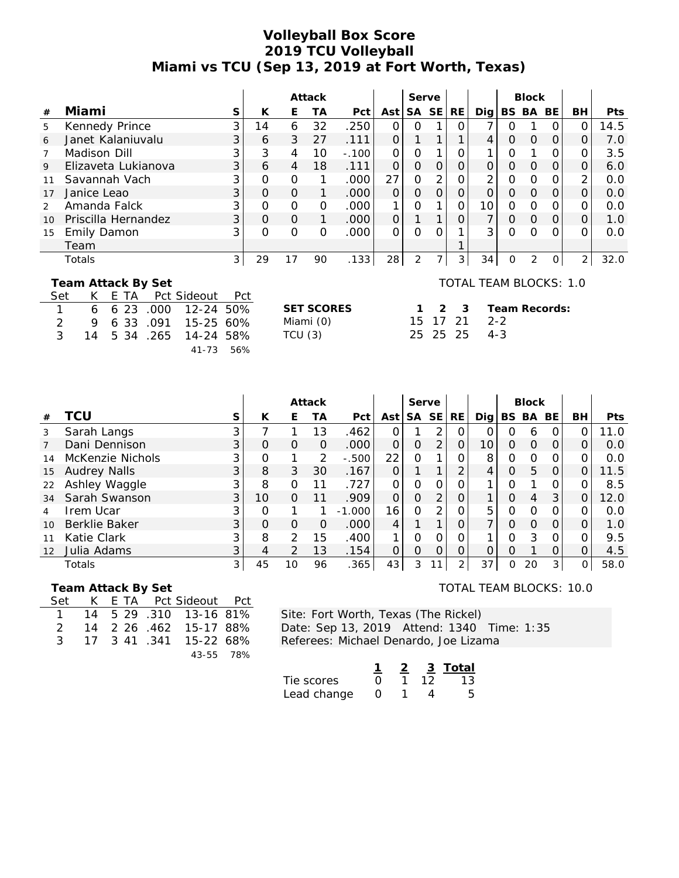### **Volleyball Box Score 2019 TCU Volleyball Miami vs TCU (Sep 13, 2019 at Fort Worth, Texas)**

|               |                     |   |          |          | Attack   |         |          | Serve |           |     |     |   | <b>Block</b>  |           |           |            |
|---------------|---------------------|---|----------|----------|----------|---------|----------|-------|-----------|-----|-----|---|---------------|-----------|-----------|------------|
| #             | Miami               | S | К        | E        | TА       | Pct     | Ast      | SA.   | <b>SE</b> | RE. | Dig |   | BS BA         | <b>BE</b> | <b>BH</b> | <b>Pts</b> |
| 5             | Kennedy Prince      | ⌒ | 14       | 6        | 32       | .250    |          |       |           |     |     |   |               |           |           | 14.5       |
| 6             | Janet Kalaniuvalu   | 3 | 6        | 3        | 27       | .111    |          |       |           |     |     | ი | $\Omega$      | Ο         | 0         | 7.0        |
|               | Madison Dill        |   | 3        | 4        | 10       | $-.100$ | $\Omega$ | O     |           | Ο   |     | N |               |           | ი         | 3.5        |
| 9             | Elizaveta Lukianova | 3 | 6        | 4        | 18       | .111    | 0        | O     | $\Omega$  | Ο   |     | ი | $\Omega$      | Ο         | Ο         | 6.0        |
|               | Savannah Vach       |   | Ω        | $\Omega$ |          | .000    | 27       | ი     | 2         |     | ⌒   | ი |               |           | っ         | 0.0        |
| 17            | Janice Leao         | 3 | $\Omega$ | $\Omega$ |          | .000    | Ο        | 0     | $\Omega$  | O   |     | Ω | $\Omega$      | O         | Ο         | 0.0        |
| $\mathcal{P}$ | Amanda Falck        |   | $\Omega$ | $\Omega$ | $\Omega$ | .000    |          | ი     |           | 0   | 10  | ი | $\Omega$      |           | ი         | 0.0        |
| 10            | Priscilla Hernandez | 3 | Ο        | $\Omega$ |          | .000    | 0        |       |           | 0   |     | 0 | $\Omega$      | $\Omega$  | Ο         | 1.0        |
| 15            | Emily Damon         | ⌒ | Ω        | $\Omega$ | Ο        | .000    | Ω        | ი     |           |     | 3   | ∩ |               |           |           | 0.0        |
|               | Team                |   |          |          |          |         |          |       |           |     |     |   |               |           |           |            |
|               | Totals              | 3 | 29       | 17       | 90       | .133    | 28       | 2     |           | 3   | 34  | 0 | $\mathcal{P}$ |           | 2         | 32.0       |

 **Team Attack By Set**

| Set            |  |  | K E TA Pct Sideout Pct |  |
|----------------|--|--|------------------------|--|
| $\overline{1}$ |  |  | 6 6 23 .000 12-24 50%  |  |
| $\mathcal{P}$  |  |  | 9 6 33 .091 15-25 60%  |  |
| $\mathcal{R}$  |  |  | 14 5 34 .265 14-24 58% |  |
|                |  |  | 41-73 56%              |  |

**SET SCORES 1 2 3**

TOTAL TEAM BLOCKS: 1.0

Miami (0) 15 17 21 TCU (3) 25 25 25 **Team Records:** 2-2 4-3

|                |                     |                |          |               | Attack        |          |                 | Serve     |                |           |     |     | <b>Block</b> |          |          |      |
|----------------|---------------------|----------------|----------|---------------|---------------|----------|-----------------|-----------|----------------|-----------|-----|-----|--------------|----------|----------|------|
| #              | TCU                 | S              | К        | E             | TА            | Pct      | Ast             | <b>SA</b> | <b>SE</b>      | <b>RE</b> | Dia | BS. | BA           | BE.      | BH       | Pts  |
| 3              | Sarah Langs         | 3              |          |               | 13            | .462     |                 |           | 2              | Ο         |     | N   | 6            |          |          | 11.0 |
| $\overline{7}$ | Dani Dennison       | $\overline{3}$ | O        | O             | 0             | .000     | O               | O         | $\overline{2}$ | 0         | 10  | Ο   | $\Omega$     | 0        | O        | 0.0  |
| 14             | McKenzie Nichols    | 3              | O        |               | $\mathcal{P}$ | $-0.500$ | 22              | 0         |                |           | 8   | 0   | $\Omega$     | Ο        |          | 0.0  |
| 15             | <b>Audrey Nalls</b> | 3 <sub>1</sub> | 8        | 3             | 30            | .167     |                 |           | 1              | $\Omega$  | 4   | 0   | 5            | $\Omega$ | $\Omega$ | 11.5 |
| 22             | Ashley Waggle       | 3              | 8        | $\Omega$      | 11            | .727     | $\Omega$        | Ω         | O              |           |     | ∩   |              | 0        |          | 8.5  |
| 34             | Sarah Swanson       | 3 <sup>1</sup> | 10       | $\Omega$      | 11            | .909     | $\Omega$        | O         | 2              | Ο         |     | ი   | 4            | 3        | O        | 12.0 |
| 4              | Irem Ucar           | 3              | O        |               |               | $-1.000$ | 16 <sub>1</sub> | 0         | ⌒              | Ο         | 5   | Ο   | $\Omega$     | Ο        |          | 0.0  |
| 10             | Berklie Baker       | 3 <sup>1</sup> | $\Omega$ | O             | O             | .000     | 4               |           | 1              | O         |     | 0   | $\Omega$     | O        | O        | 1.0  |
|                | Katie Clark         | 3              | 8        | $\mathcal{P}$ | 15            | .400     |                 | Ω         | ∩              | Ω         |     | ი   | 3            | O        |          | 9.5  |
| 12             | Julia Adams         | 3              | 4        | 2             | 13            | .154     | Ο               | Ω         | O              | Ο         | Ω   | Ω   |              |          |          | 4.5  |
|                | Totals              | 3 <sup>1</sup> | 45       | 10            | 96            | .365     | 43              | 3         | 11             | C         | 37  | Ο   | 20           | 3        | $\Omega$ | 58.0 |

 **Team Attack By Set**

|  |  | Set K E TA Pct Sideout Pct |  |
|--|--|----------------------------|--|
|  |  | 1 14 5 29 .310 13-16 81%   |  |
|  |  | 2 14 2 26 .462 15-17 88%   |  |
|  |  | 3 17 3 41 341 15-22 68%    |  |
|  |  | 43-55 78%                  |  |

Site: Fort Worth, Texas (The Rickel) Date: Sep 13, 2019 Attend: 1340 Time: 1:35 Referees: Michael Denardo, Joe Lizama

|             |                  |    | 3 Total |
|-------------|------------------|----|---------|
| Tie scores  | $\cap$           | TZ | 13      |
| Lead change | $\left( \right)$ |    |         |

#### TOTAL TEAM BLOCKS: 10.0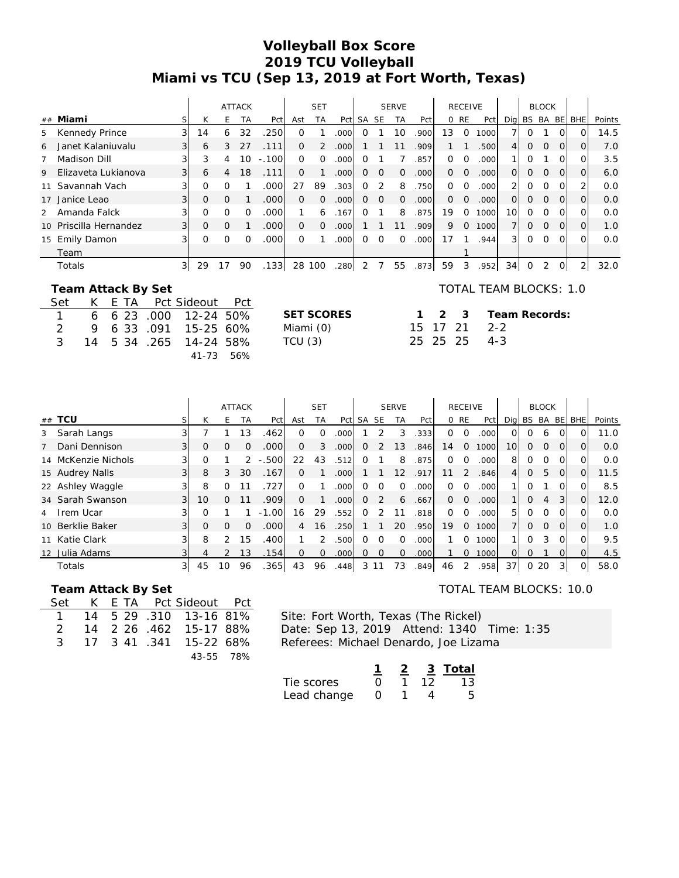# **Volleyball Box Score 2019 TCU Volleyball Miami vs TCU (Sep 13, 2019 at Fort Worth, Texas)**

|                 |                     |                |              |          | <b>ATTACK</b> |         |          | <b>SET</b> |      |       |          | <b>SERVE</b> |                   |          | <b>RECEIVE</b> |       |                 |                  | <b>BLOCK</b>  |          |                |        |
|-----------------|---------------------|----------------|--------------|----------|---------------|---------|----------|------------|------|-------|----------|--------------|-------------------|----------|----------------|-------|-----------------|------------------|---------------|----------|----------------|--------|
|                 | ## Miami            |                | K            | Н.       | ТA            | Pct     | Ast      | <b>TA</b>  | Pct  | SA SE |          | TA           | Pct               |          | 0 RE           | Pct   | Dig BS BA BE    |                  |               |          | <b>BHE</b>     | Points |
| 5               | Kennedy Prince      | 31             | 14           | 6        | 32            | .250    | $\Omega$ |            | .000 |       |          | 10           | .9001             | 13       | $\Omega$       | 1000l |                 | $\left( \right)$ |               |          | Ω              | 14.5   |
| 6               | Janet Kalaniuvalu   | 31             | 6            | 3        | 27            | .111    | $\Omega$ | 2          | .000 |       |          | 11           | .909              |          |                | .500  | $\frac{4}{ }$   | 0                | $\Omega$      | $\Omega$ | $\Omega$       | 7.0    |
|                 | Madison Dill        | $\overline{3}$ | 3            | 4        | 10            | $-.100$ | $\Omega$ | $\Omega$   | .000 | O     |          |              | 857               | $\Omega$ | Ω              | .000l |                 | 0                |               | $\Omega$ | 0              | 3.5    |
| 9               | Elizaveta Lukianova | 31             | 6            | 4        | 18            | .111    | $\Omega$ |            | .000 | 0     | $\Omega$ | $\Omega$     | .000 <sub>1</sub> | $\Omega$ | $\Omega$       | .000  | $\Omega$        | 0                | $\mathcal{O}$ | $\Omega$ | $\Omega$       | 6.0    |
| 11              | Savannah Vach       |                | O            |          |               | .000    | 27       | 89         | .303 | Ω     |          | 8            | 750               | $\Omega$ | $\Omega$       | .000  |                 | 0                | $\Omega$      |          | $\overline{2}$ | 0.0    |
| 17              | Janice Leao         | 31             | $\mathbf{O}$ | $\Omega$ |               | .000    | $\Omega$ | $\Omega$   | .000 | 0     | $\Omega$ | $\Omega$     | 000               | $\Omega$ | $\Omega$       | .000  | $\Omega$        | 0                | $\Omega$      | $\Omega$ | $\Omega$       | 0.0    |
| 2               | Amanda Falck        | $\overline{3}$ | $\Omega$     | O        |               | .0001   |          | 6          | .167 | O     |          | 8            | .875              | 19       | 0              | 1000  | 10 <sup>1</sup> | 0                | ∩             | $\Omega$ | O              | 0.0    |
| 10 <sup>1</sup> | Priscilla Hernandez | 31             | $\Omega$     | $\Omega$ |               | .000    | $\Omega$ | $\Omega$   | .000 |       |          | 11           | .909              | 9        | $\Omega$       | 1000  |                 | $\Omega$         | $\Omega$      | $\Omega$ | $\Omega$       | 1.0    |
|                 | 15 Emily Damon      |                | $\Omega$     |          |               | .000    | $\Omega$ |            | .000 | Ω     | O        | $\Omega$     | .000              | 17       |                | .944  | 31              | 0                | $\Omega$      | $\Omega$ | O              | 0.0    |
|                 | Team                |                |              |          |               |         |          |            |      |       |          |              |                   |          |                |       |                 |                  |               |          |                |        |
|                 | Totals              | 3              | 29           | 17       | 90            | .1331   | 28       | 100        | 280  |       |          | 55           | .873              | 59       | 3              | .952  | 34              | $\Omega$         | 2             | $\Omega$ | 2              | 32.0   |

**SET SCORES 1 2 3** Miami (0)  $TCU(3)$ 

#### **Team Attack By Set**

| Set           |  | K E TA Pct Sideout Pct |  |
|---------------|--|------------------------|--|
| $\sim$ 1      |  | 6 6 23 .000 12-24 50%  |  |
| $\mathcal{L}$ |  | 9 6 33 .091 15-25 60%  |  |
| $\mathcal{R}$ |  | 14 5 34 .265 14-24 58% |  |
|               |  | $41 - 73$ 56%          |  |

| <b>, u i</b> u |  |
|----------------|--|
| 2-24 50%       |  |
| 5-25 60%       |  |
| l-24 58%       |  |
| 1-73 56%       |  |

### TOTAL TEAM BLOCKS: 1.0

|  | 1 2 3 Team Records: |
|--|---------------------|
|  | 15 17 21 2-2        |
|  | 25 25 25 4-3        |

|                |                     |                   |          |               | <b>ATTACK</b> |           |          | <b>SET</b> |                   |       |          | <b>SERVE</b> |                   |          | <b>RECEIVE</b> |      |                 |              | <b>BLOCK</b> |          |              |        |
|----------------|---------------------|-------------------|----------|---------------|---------------|-----------|----------|------------|-------------------|-------|----------|--------------|-------------------|----------|----------------|------|-----------------|--------------|--------------|----------|--------------|--------|
|                | ## TCU              |                   | К        | F             | <b>TA</b>     | Pct       | Ast      | <b>TA</b>  | Pct               | SA SE |          | <b>TA</b>    | Pct               |          | 0 RE           | Pct  |                 | Dig BS BA BE |              |          | <b>BHE</b>   | Points |
| 3              | Sarah Langs         | 3                 |          |               | 13            | .462      | 0        | $\Omega$   | .000 <sub>1</sub> |       |          | 3            | .333              | $\Omega$ | $\Omega$       | .000 | $\Omega$        | 0            | 6            |          |              | 11.0   |
| $\overline{7}$ | Dani Dennison       | 3 <sup>1</sup>    | $\Omega$ | Ω             | $\Omega$      | .000      | $\Omega$ | 3          | .000 <sub>l</sub> | 0     | 2        | 13           | .846              | 14       | $\Omega$       | 1000 | 10 <sup>1</sup> | $\Omega$     | $\Omega$     | $\Omega$ | 0            | 0.0    |
|                | 14 McKenzie Nichols | 3                 |          |               |               | $2 - 500$ | 22       | 43         | .512              | O     |          | 8            | .875              | $\Omega$ | $\Omega$       | .000 | 8               | 0            | O            |          | $\Omega$     | 0.0    |
|                | 15 Audrey Nalls     | 31                | 8        | 3             | 30            | .167      | 0        |            | .000              |       |          | 12           | .917              | 11       | 2              | .846 | $\overline{4}$  | 0            | 5.           | $\Omega$ | $\Omega$     | 11.5   |
|                | 22 Ashley Waggle    | $\lvert 3 \rvert$ | 8        | O             |               | .727      | 0        |            | .000              |       | O        | $\Omega$     | .000              | $\Omega$ | $\Omega$       | 000  |                 | 0            |              |          | $\Omega_{1}$ | 8.5    |
|                | 34 Sarah Swanson    | 3 <sup>1</sup>    | 10       | 0             |               | .909      | $\Omega$ |            | .000 <sub>l</sub> | 0     | 2        | 6            | .667              | $\Omega$ | $\Omega$       | .000 |                 | $\Omega$     | 4            | 3        | $\Omega$     | 12.0   |
| 4              | Irem Ucar           | 3                 |          |               |               | $-1.00$   | 16       | 29         | .552              | Ω     |          |              | .818              | $\Omega$ | $\Omega$       | .000 | 51              | 0            | O            |          | 0            | 0.0    |
|                | 10 Berklie Baker    | 3 <sup>1</sup>    | $\Omega$ | $\Omega$      | $\Omega$      | .000      | 4        | 16         | .250              |       |          | 20           | .950              | 19       | $\Omega$       | 1000 |                 | 0            | $\Omega$     | $\Omega$ | $\Omega$     | 1.0    |
|                | 11 Katie Clark      | $\overline{3}$    | 8        | $\mathcal{P}$ | 15            | .400      |          | 2          | .500              | n     | O        | $\Omega$     | .000              |          | $\Omega$       | 1000 |                 | 0            | 3            | $\Omega$ | 0            | 9.5    |
|                | 12 Julia Adams      | 3                 | 4        |               | 13            | .154      | $\Omega$ | $\Omega$   | .000              | 0     | $\Omega$ | $\Omega$     | .000 <sub>l</sub> |          | 0              | 1000 | $\Omega$        | $\Omega$     |              | $\Omega$ | 0            | 4.5    |
|                | Totals              | 31                | 45       | 10            | 96            | .365      | 43       | 96         | .448              |       | 3 1 1    | 73           | .849              | 46       | 2              | .958 | 37 <sup>1</sup> | 0            | 20           | 31       | 0            | 58.0   |

#### **Team Attack By Set**

| Set |  | K E TA Pct Sideout Pct   |  |
|-----|--|--------------------------|--|
|     |  | 1 14 5 29 310 13-16 81%  |  |
|     |  | 2 14 2 26 462 15-17 88%  |  |
|     |  | 3 17 3 41 .341 15-22 68% |  |
|     |  | 43-55 78%                |  |

Site: Fort Worth, Texas (The Rickel) Date: Sep 13, 2019 Attend: 1340 Time: 1:35 Referees: Michael Denardo, Joe Lizama

|             |                  | - 2 - |    | 3 Total |
|-------------|------------------|-------|----|---------|
| Tie scores  | $\cap$           |       | 12 | 13      |
| Lead change | $\left( \right)$ |       |    |         |

#### TOTAL TEAM BLOCKS: 10.0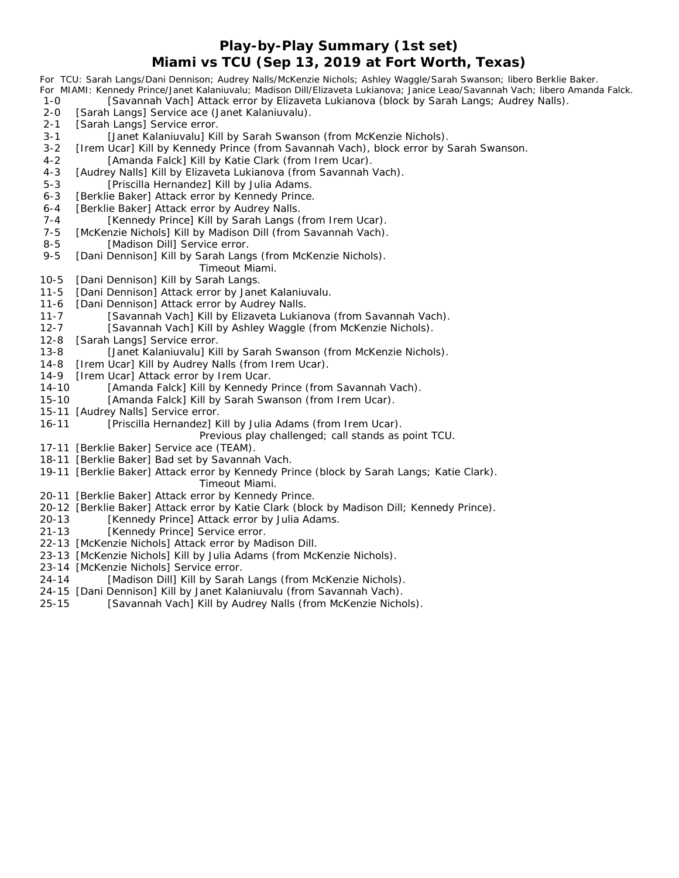## **Play-by-Play Summary (1st set) Miami vs TCU (Sep 13, 2019 at Fort Worth, Texas)**

| 1-0       | For TCU: Sarah Langs/Dani Dennison; Audrey Nalls/McKenzie Nichols; Ashley Waggle/Sarah Swanson; libero Berklie Baker.<br>For MIAMI: Kennedy Prince/Janet Kalaniuvalu; Madison Dill/Elizaveta Lukianova; Janice Leao/Savannah Vach; libero Amanda Falck.<br>[Savannah Vach] Attack error by Elizaveta Lukianova (block by Sarah Langs; Audrey Nalls). |
|-----------|------------------------------------------------------------------------------------------------------------------------------------------------------------------------------------------------------------------------------------------------------------------------------------------------------------------------------------------------------|
| $2 - 0$   | [Sarah Langs] Service ace (Janet Kalaniuvalu).                                                                                                                                                                                                                                                                                                       |
| $2 - 1$   | [Sarah Langs] Service error.                                                                                                                                                                                                                                                                                                                         |
| $3 - 1$   | [Janet Kalaniuvalu] Kill by Sarah Swanson (from McKenzie Nichols).                                                                                                                                                                                                                                                                                   |
| $3 - 2$   | [Irem Ucar] Kill by Kennedy Prince (from Savannah Vach), block error by Sarah Swanson.                                                                                                                                                                                                                                                               |
| $4 - 2$   | [Amanda Falck] Kill by Katie Clark (from Irem Ucar).                                                                                                                                                                                                                                                                                                 |
| $4 - 3$   | [Audrey Nalls] Kill by Elizaveta Lukianova (from Savannah Vach).                                                                                                                                                                                                                                                                                     |
| $5 - 3$   | [Priscilla Hernandez] Kill by Julia Adams.                                                                                                                                                                                                                                                                                                           |
| $6 - 3$   | [Berklie Baker] Attack error by Kennedy Prince.                                                                                                                                                                                                                                                                                                      |
| $6 - 4$   | [Berklie Baker] Attack error by Audrey Nalls.                                                                                                                                                                                                                                                                                                        |
| $7 - 4$   | [Kennedy Prince] Kill by Sarah Langs (from Irem Ucar).                                                                                                                                                                                                                                                                                               |
| $7 - 5$   | [McKenzie Nichols] Kill by Madison Dill (from Savannah Vach).                                                                                                                                                                                                                                                                                        |
| $8 - 5$   | [Madison Dill] Service error.                                                                                                                                                                                                                                                                                                                        |
| $9 - 5$   | [Dani Dennison] Kill by Sarah Langs (from McKenzie Nichols).                                                                                                                                                                                                                                                                                         |
|           | Timeout Miami.                                                                                                                                                                                                                                                                                                                                       |
| $10 - 5$  | [Dani Dennison] Kill by Sarah Langs.                                                                                                                                                                                                                                                                                                                 |
| $11 - 5$  | [Dani Dennison] Attack error by Janet Kalaniuvalu.                                                                                                                                                                                                                                                                                                   |
| $11 - 6$  | [Dani Dennison] Attack error by Audrey Nalls.                                                                                                                                                                                                                                                                                                        |
| $11 - 7$  | [Savannah Vach] Kill by Elizaveta Lukianova (from Savannah Vach).                                                                                                                                                                                                                                                                                    |
| $12 - 7$  | [Savannah Vach] Kill by Ashley Waggle (from McKenzie Nichols).                                                                                                                                                                                                                                                                                       |
| $12 - 8$  | [Sarah Langs] Service error.                                                                                                                                                                                                                                                                                                                         |
| $13 - 8$  | [Janet Kalaniuvalu] Kill by Sarah Swanson (from McKenzie Nichols).                                                                                                                                                                                                                                                                                   |
| $14 - 8$  | [Irem Ucar] Kill by Audrey Nalls (from Irem Ucar).                                                                                                                                                                                                                                                                                                   |
| $14-9$    | [Irem Ucar] Attack error by Irem Ucar.                                                                                                                                                                                                                                                                                                               |
| $14 - 10$ | [Amanda Falck] Kill by Kennedy Prince (from Savannah Vach).                                                                                                                                                                                                                                                                                          |
| $15 - 10$ | [Amanda Falck] Kill by Sarah Swanson (from Irem Ucar).                                                                                                                                                                                                                                                                                               |
| $15 - 11$ | [Audrey Nalls] Service error.                                                                                                                                                                                                                                                                                                                        |
| $16 - 11$ | [Priscilla Hernandez] Kill by Julia Adams (from Irem Ucar).                                                                                                                                                                                                                                                                                          |
|           | Previous play challenged; call stands as point TCU.                                                                                                                                                                                                                                                                                                  |
|           | 17-11 [Berklie Baker] Service ace (TEAM).                                                                                                                                                                                                                                                                                                            |
|           | 18-11 [Berklie Baker] Bad set by Savannah Vach.                                                                                                                                                                                                                                                                                                      |
|           | 19-11 [Berklie Baker] Attack error by Kennedy Prince (block by Sarah Langs; Katie Clark).<br>Timeout Miami.                                                                                                                                                                                                                                          |
|           |                                                                                                                                                                                                                                                                                                                                                      |

- 20-11 [Berklie Baker] Attack error by Kennedy Prince.
- 20-12 [Berklie Baker] Attack error by Katie Clark (block by Madison Dill; Kennedy Prince).<br>20-13 [Kennedy Prince] Attack error by Julia Adams.
- [Kennedy Prince] Attack error by Julia Adams.
- 21-13 [Kennedy Prince] Service error.
- 22-13 [McKenzie Nichols] Attack error by Madison Dill.
- 23-13 [McKenzie Nichols] Kill by Julia Adams (from McKenzie Nichols).
- 23-14 [McKenzie Nichols] Service error.
- 24-14 [Madison Dill] Kill by Sarah Langs (from McKenzie Nichols).
- 24-15 [Dani Dennison] Kill by Janet Kalaniuvalu (from Savannah Vach).
- 25-15 [Savannah Vach] Kill by Audrey Nalls (from McKenzie Nichols).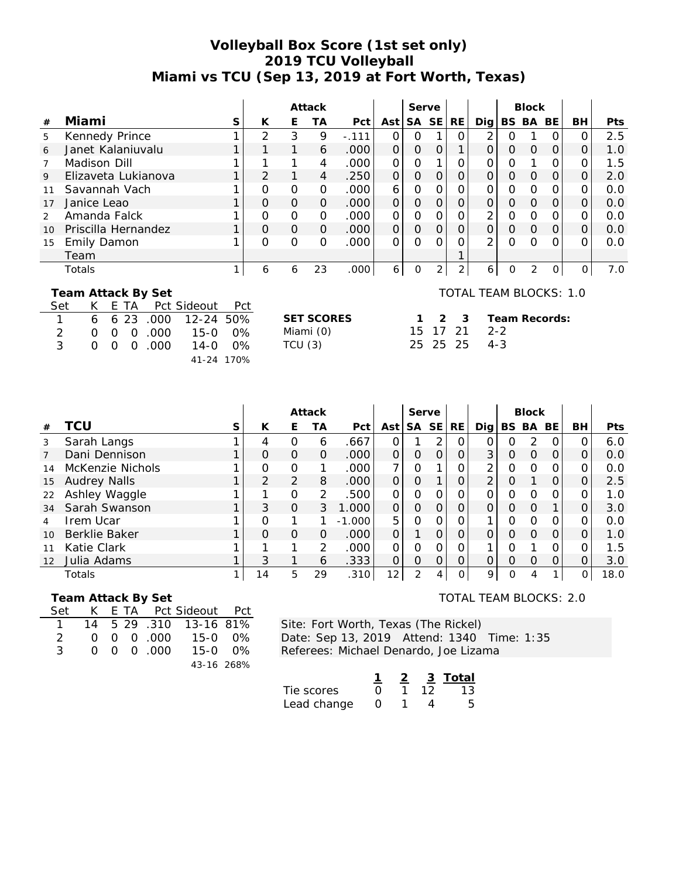## **Volleyball Box Score (1st set only) 2019 TCU Volleyball Miami vs TCU (Sep 13, 2019 at Fort Worth, Texas)**

|    |                     |   |          |          | Attack   |         |          | Serve     |           |     |               |   | <b>Block</b> |    |    |            |
|----|---------------------|---|----------|----------|----------|---------|----------|-----------|-----------|-----|---------------|---|--------------|----|----|------------|
| #  | Miami               | S | К        | Е        | ТA       | Pct     | Ast      | <b>SA</b> | <b>SE</b> | RE. | Dia l         |   | BS BA        | BE | BH | <b>Pts</b> |
| 5  | Kennedy Prince      |   | ◠        | 3        | 9        | $-.111$ |          |           |           |     | ⌒             |   |              |    |    | 2.5        |
| 6  | Janet Kalaniuvalu   |   |          |          | 6        | .000    | $\Omega$ | 0         |           |     | $\Omega$      | ი | $\Omega$     | O  |    | 1.0        |
|    | Madison Dill        |   |          |          | 4        | .000    | $\Omega$ | Ω         |           |     | ∩             | ი |              |    |    | 1.5        |
| 9  | Elizaveta Lukianova |   |          |          | 4        | .250    | $\Omega$ | 0         |           | 0   | $\Omega$      | Ω | $\Omega$     | O  |    | 2.0        |
|    | Savannah Vach       |   |          | O        | O        | .000    | 6        | Ο         |           |     |               | Ⴖ |              |    |    | 0.0        |
| 17 | Janice Leao         |   | Ο        | $\Omega$ | $\Omega$ | .000    | $\Omega$ | 0         |           | 0   |               | 0 | $\Omega$     | O  |    | 0.0        |
|    | Amanda Falck        |   |          | 0        | O        | .000    | $\Omega$ | Ω         |           |     | ⌒             | ი |              | Ω  |    | 0.0        |
| 10 | Priscilla Hernandez |   | $\Omega$ | $\Omega$ | $\Omega$ | .000    | $\Omega$ | O         |           |     |               | ი | $\Omega$     | O  | 0  | 0.0        |
| 15 | <b>Emily Damon</b>  |   | $\Omega$ | $\Omega$ | O        | .000    | $\Omega$ | Ω         |           |     | $\mathcal{P}$ | ∩ |              |    | Ω  | 0.0        |
|    | Team                |   |          |          |          |         |          |           |           |     |               |   |              |    |    |            |
|    | Totals              |   | 6        | 6        | 23       | .000    | 6        | ი         |           | ⌒   | 6             |   |              |    |    | 7.0        |

**SET SCORES 1 2 3** Miami (0)  $TCU(3)$ 

 **Team Attack By Set**

|                |  |             | Set K E TA Pct Sideout Pct                       |  |
|----------------|--|-------------|--------------------------------------------------|--|
| $\overline{1}$ |  |             | $6\quad 6\quad 23\quad 000\quad 12-24\quad 50\%$ |  |
| $\mathcal{D}$  |  |             | 0 0 0 000 15-0 0%                                |  |
| -3.            |  | 0 0 0 0 000 | 14-0 $0\%$                                       |  |
|                |  |             | 41-24 170%                                       |  |

### TOTAL TEAM BLOCKS: 1.0

|  | 1 2 3 Team Records: |
|--|---------------------|
|  | 15 17 21 2-2        |
|  | 25 25 25 4-3        |

|    |                      |   |          |                | Attack        |          |                | Serve    |               |               |                |          | <b>Block</b> |          |    |            |
|----|----------------------|---|----------|----------------|---------------|----------|----------------|----------|---------------|---------------|----------------|----------|--------------|----------|----|------------|
| #  | TCU                  | S | К        | E              | ТA            | Pct      | Ast            | SA SE    |               | <b>RE</b>     | Dia l          | BS BA    |              | BE.      | BH | <b>Pts</b> |
| 3  | Sarah Langs          |   | 4        | 0              | 6             | .667     |                |          | 2             | $\Omega$      |                |          | 2            |          |    | 6.0        |
| 7  | Dani Dennison        |   | $\Omega$ | 0              | $\Omega$      | .000     | $\overline{O}$ | $\Omega$ | $\Omega$      | $\Omega$      | 3              | $\Omega$ | $\Omega$     | $\Omega$ | Ο  | 0.0        |
| 14 | McKenzie Nichols     |   | 0        | 0              |               | .000     | ⇁              | $\Omega$ |               | Ο             | 2              | O        | $\Omega$     | O        |    | 0.0        |
| 15 | <b>Audrey Nalls</b>  |   | 2        | $\overline{2}$ | 8             | .000     | $\Omega$       | $\Omega$ |               | $\mathcal{O}$ | $\overline{2}$ | $\Omega$ | 1            | $\Omega$ |    | 2.5        |
| 22 | Ashley Waggle        |   | ◀        | 0              | $\mathcal{P}$ | .500     | 0              | $\Omega$ | $\Omega$      | $\Omega$      | 0              | $\Omega$ | $\Omega$     | ∩        |    | 1.0        |
| 34 | Sarah Swanson        |   | 3        | $\Omega$       | 3             | 1.000    | $\mathcal{O}$  | $\Omega$ | $\Omega$      | $\mathcal{O}$ |                | $\Omega$ | $\Omega$     |          |    | 3.0        |
| 4  | Irem Ucar            |   | 0        |                |               | $-1.000$ | 5              | $\Omega$ | $\Omega$      |               | 1              | $\Omega$ | $\Omega$     |          |    | 0.0        |
| 10 | <b>Berklie Baker</b> |   | $\Omega$ | $\Omega$       | $\Omega$      | .000     | $\Omega$       |          | $\Omega$      | $\Omega$      | $\Omega$       | $\Omega$ | $\Omega$     | $\Omega$ | 0  | 1.0        |
| 11 | Katie Clark          |   |          | 1              | 2             | .000     | 0              | $\Omega$ | $\mathcal{O}$ | $\Omega$      |                |          |              |          |    | 1.5        |
| 12 | Julia Adams          |   | 3        |                | 6             | .333     | O              | $\Omega$ | $\Omega$      | $\Omega$      | 0              | $\Omega$ | $\Omega$     | ∩        |    | 3.0        |
|    | Totals               |   | 14       | 5              | 29            | .310     | 12             | 2        | 4             | $\cap$        | 9              | O        |              |          | 0  | 18.0       |

 **Team Attack By Set**

| Set           |  |                               | K E TA Pct Sideout Pct |  |
|---------------|--|-------------------------------|------------------------|--|
|               |  |                               | 14 5 29 .310 13-16 81% |  |
| $\mathcal{D}$ |  | $0 \quad 0 \quad 0 \quad 000$ | 15-0 0%                |  |
| 3             |  | $0 \quad 0 \quad 0 \quad 000$ | $15-0$ 0%              |  |
|               |  |                               | 43-16 268%             |  |

TOTAL TEAM BLOCKS: 2.0

Site: Fort Worth, Texas (The Rickel) Date: Sep 13, 2019 Attend: 1340 Time: 1:35

Referees: Michael Denardo, Joe Lizama

|             |  | 3 | Total |
|-------------|--|---|-------|
| Tie scores  |  |   | 13    |
| Lead change |  |   |       |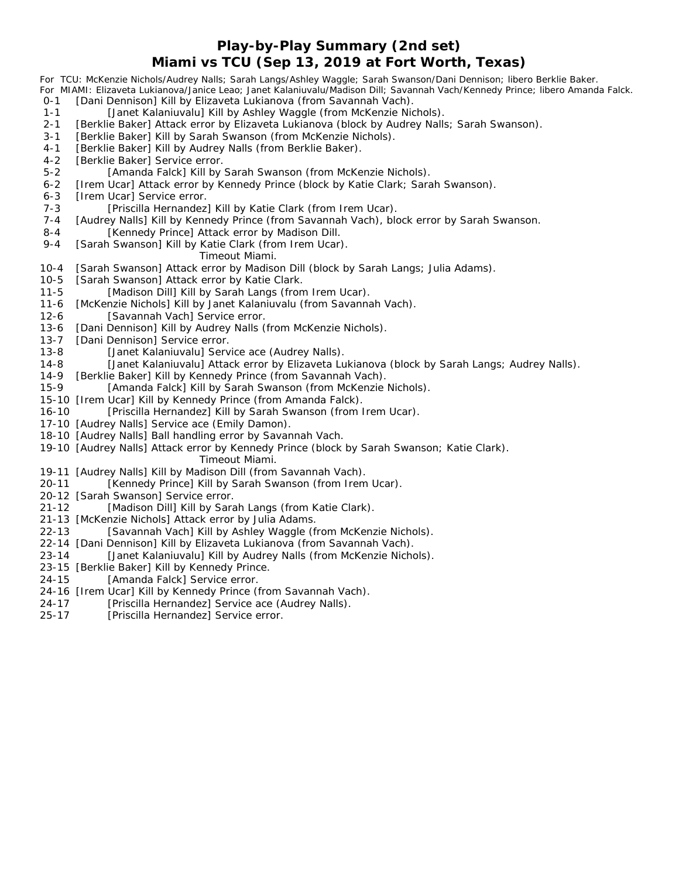### **Play-by-Play Summary (2nd set) Miami vs TCU (Sep 13, 2019 at Fort Worth, Texas)**

|           | For TCU: McKenzie Nichols/Audrey Nalls; Sarah Langs/Ashley Waggle; Sarah Swanson/Dani Dennison; libero Berklie Baker.<br>For MIAMI: Elizaveta Lukianova/Janice Leao; Janet Kalaniuvalu/Madison Dill; Savannah Vach/Kennedy Prince; libero Amanda Falck. |
|-----------|---------------------------------------------------------------------------------------------------------------------------------------------------------------------------------------------------------------------------------------------------------|
| $0 - 1$   | [Dani Dennison] Kill by Elizaveta Lukianova (from Savannah Vach).                                                                                                                                                                                       |
| $1 - 1$   | [Janet Kalaniuvalu] Kill by Ashley Waggle (from McKenzie Nichols).                                                                                                                                                                                      |
| $2 - 1$   | [Berklie Baker] Attack error by Elizaveta Lukianova (block by Audrey Nalls; Sarah Swanson).                                                                                                                                                             |
| $3 - 1$   | [Berklie Baker] Kill by Sarah Swanson (from McKenzie Nichols).                                                                                                                                                                                          |
| $4 - 1$   | [Berklie Baker] Kill by Audrey Nalls (from Berklie Baker).                                                                                                                                                                                              |
| $4 - 2$   | [Berklie Baker] Service error.                                                                                                                                                                                                                          |
| $5 - 2$   | [Amanda Falck] Kill by Sarah Swanson (from McKenzie Nichols).                                                                                                                                                                                           |
| $6 - 2$   | [Irem Ucar] Attack error by Kennedy Prince (block by Katie Clark; Sarah Swanson).                                                                                                                                                                       |
| $6 - 3$   | [Irem Ucar] Service error.                                                                                                                                                                                                                              |
| $7 - 3$   | [Priscilla Hernandez] Kill by Katie Clark (from Irem Ucar).                                                                                                                                                                                             |
| $7 - 4$   | [Audrey Nalls] Kill by Kennedy Prince (from Savannah Vach), block error by Sarah Swanson.                                                                                                                                                               |
| $8 - 4$   | [Kennedy Prince] Attack error by Madison Dill.                                                                                                                                                                                                          |
| $9 - 4$   | [Sarah Swanson] Kill by Katie Clark (from Irem Ucar).                                                                                                                                                                                                   |
|           | Timeout Miami.                                                                                                                                                                                                                                          |
| $10 - 4$  | [Sarah Swanson] Attack error by Madison Dill (block by Sarah Langs; Julia Adams).                                                                                                                                                                       |
| $10 - 5$  | [Sarah Swanson] Attack error by Katie Clark.                                                                                                                                                                                                            |
| $11 - 5$  | [Madison Dill] Kill by Sarah Langs (from Irem Ucar).                                                                                                                                                                                                    |
| $11 - 6$  | [McKenzie Nichols] Kill by Janet Kalaniuvalu (from Savannah Vach).                                                                                                                                                                                      |
| $12-6$    | [Savannah Vach] Service error.                                                                                                                                                                                                                          |
| $13 - 6$  | [Dani Dennison] Kill by Audrey Nalls (from McKenzie Nichols).                                                                                                                                                                                           |
| $13 - 7$  | [Dani Dennison] Service error.                                                                                                                                                                                                                          |
| $13 - 8$  | [Janet Kalaniuvalu] Service ace (Audrey Nalls).                                                                                                                                                                                                         |
| $14 - 8$  | [Janet Kalaniuvalu] Attack error by Elizaveta Lukianova (block by Sarah Langs; Audrey Nalls).                                                                                                                                                           |
| $14-9$    | [Berklie Baker] Kill by Kennedy Prince (from Savannah Vach).                                                                                                                                                                                            |
| $15 - 9$  | [Amanda Falck] Kill by Sarah Swanson (from McKenzie Nichols).                                                                                                                                                                                           |
| $15 - 10$ | [Irem Ucar] Kill by Kennedy Prince (from Amanda Falck).                                                                                                                                                                                                 |
| $16 - 10$ | [Priscilla Hernandez] Kill by Sarah Swanson (from Irem Ucar).                                                                                                                                                                                           |
|           | 17-10 [Audrey Nalls] Service ace (Emily Damon).                                                                                                                                                                                                         |
|           | 18-10 [Audrey Nalls] Ball handling error by Savannah Vach.                                                                                                                                                                                              |
|           | 19-10 [Audrey Nalls] Attack error by Kennedy Prince (block by Sarah Swanson; Katie Clark).                                                                                                                                                              |
|           | Timeout Miami.                                                                                                                                                                                                                                          |
|           | 19-11 [Audrey Nalls] Kill by Madison Dill (from Savannah Vach).                                                                                                                                                                                         |
| $20 - 11$ | [Kennedy Prince] Kill by Sarah Swanson (from Irem Ucar).                                                                                                                                                                                                |
|           | 20-12 [Sarah Swanson] Service error.                                                                                                                                                                                                                    |
| $21 - 12$ | [Madison Dill] Kill by Sarah Langs (from Katie Clark).                                                                                                                                                                                                  |
|           | 21-13 [McKenzie Nichols] Attack error by Julia Adams.                                                                                                                                                                                                   |

- 22-13 [Savannah Vach] Kill by Ashley Waggle (from McKenzie Nichols).
- 22-14 [Dani Dennison] Kill by Elizaveta Lukianova (from Savannah Vach).
- 23-14 [Janet Kalaniuvalu] Kill by Audrey Nalls (from McKenzie Nichols).
- 23-15 [Berklie Baker] Kill by Kennedy Prince.
- 24-15 [Amanda Falck] Service error.
- 24-16 [Irem Ucar] Kill by Kennedy Prince (from Savannah Vach).
- 24-17 [Priscilla Hernandez] Service ace (Audrey Nalls).<br>25-17 [Priscilla Hernandez] Service error.
- [Priscilla Hernandez] Service error.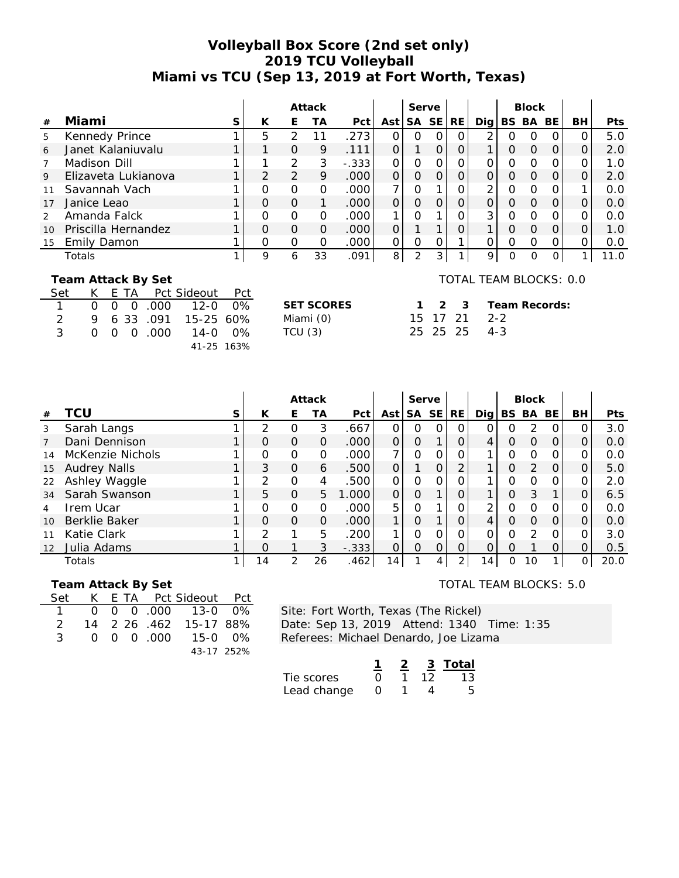# **Volleyball Box Score (2nd set only) 2019 TCU Volleyball Miami vs TCU (Sep 13, 2019 at Fort Worth, Texas)**

|               |                                                                                      |       |          |               | Attack            |         |                | Serve     |           |     |     |          | <b>Block</b> |               |    |            |
|---------------|--------------------------------------------------------------------------------------|-------|----------|---------------|-------------------|---------|----------------|-----------|-----------|-----|-----|----------|--------------|---------------|----|------------|
| #             | Miami                                                                                | S     | K        | Е             | ТA                | Pct     | Ast            | <b>SA</b> | <b>SE</b> | RE. | Dig |          | BS BA        | BE            | BН | <b>Pts</b> |
| 5             | Kennedy Prince                                                                       |       | 5        | 2             | 11                | .273    | $\Omega$       | Ο         | Ω         | Ω   | 2   | 0        | O            | Ω             |    | 5.0        |
| 6             | Janet Kalaniuvalu                                                                    |       |          | $\Omega$      | 9                 | .111    | 0              | 1         | $\Omega$  | 0   |     | Ο        | $\Omega$     | 0             | 0  | 2.0        |
| 7             | Madison Dill                                                                         |       |          | 2             | 3                 | $-.333$ | $\Omega$       | O         | O         | 0   | Ω   | Ο        | $\Omega$     | O             |    | 1.0        |
| 9             | Elizaveta Lukianova                                                                  |       | 2        | 2             | 9                 | .000    | $\Omega$       | O         | $\Omega$  | 0   | 0   | $\Omega$ | $\Omega$     | $\Omega$      | O  | 2.0        |
| 11            | Savannah Vach                                                                        |       | 0        | $\mathcal{O}$ | $\Omega$          | .000    | $\overline{7}$ | 0         |           |     | 2   | 0        | $\Omega$     | Ω             |    | 0.0        |
| 17            | Janice Leao                                                                          |       | $\Omega$ | $\Omega$      | 1                 | .000.   | $\Omega$       | O         | $\Omega$  | 0   | O   | O        | $\Omega$     | 0             | O  | 0.0        |
| $\mathcal{P}$ | Amanda Falck                                                                         |       | O        | $\Omega$      | $\Omega$          | .000    | 1              | Ω         |           |     | 3   | Ω        | $\Omega$     | Ω             |    | 0.0        |
| 10            | Priscilla Hernandez                                                                  |       | $\Omega$ | $\Omega$      | $\Omega$          | .000    | O              |           |           | 0   |     | Ο        | $\Omega$     | O             | O  | 1.0        |
| 15            | Emily Damon                                                                          |       | O        | $\Omega$      | $\Omega$          | .000    | $\Omega$       | Ω         | O         |     | Ω   | 0        | $\Omega$     | O             | Ω  | 0.0        |
|               | Totals                                                                               |       | 9        | 6             | 33                | .091    | 8              | 2         | 3         | 1   | 9   | $\Omega$ | $\Omega$     | 0             |    | 11.0       |
|               | TOTAL TEAM BLOCKS: 0.0<br>Team Attack By Set<br>Pct Sideout<br>Set<br>F<br>Pct<br>TА |       |          |               |                   |         |                |           |           |     |     |          |              |               |    |            |
|               | $12 - 0$<br>000<br>0<br>Ο<br>O                                                       | $0\%$ |          |               | <b>SET SCORES</b> |         |                |           | 2         | 3   |     |          |              | Team Records: |    |            |

|   |  |  | 1   0  0  0  000   12-0  0% |  |
|---|--|--|-----------------------------|--|
| 2 |  |  | 9 6 33 .091 15-25 60%       |  |
| 3 |  |  | 0 0 0 0 000 14-0 0%         |  |
|   |  |  | 41-25 163%                  |  |

| <b>SET SCORES</b> | 1 2 3    |  |
|-------------------|----------|--|
| Miami (0)         | 15 17 21 |  |
| TCU(3)            | 25 25 25 |  |
|                   |          |  |

|  | 1 2 3 Team Records |
|--|--------------------|
|  | 15 17 21 2-2       |
|  | 25 25 25 4-3       |

|                   |                      |   |          |               | Attack |         |                | Serve     |                |                |     |          | <b>Block</b> |          |    |      |
|-------------------|----------------------|---|----------|---------------|--------|---------|----------------|-----------|----------------|----------------|-----|----------|--------------|----------|----|------|
| #                 | TCU                  | S | К        | E.            | ТA     | Pct     | Ast            | <b>SA</b> | <b>SE</b>      | <b>RE</b>      | Dig | BS BA    |              | BE.      | BH | Pts  |
| 3                 | Sarah Langs          |   | っ        |               | 3      | .667    | Ο              | O         | $\overline{O}$ | $\Omega$       |     |          | っ            |          |    | 3.0  |
|                   | Dani Dennison        |   | O        | $\Omega$      | 0      | .000    | 0              | $\circ$   | 1              | $\Omega$       |     | O        | O            | $\Omega$ |    | 0.0  |
| 14                | McKenzie Nichols     |   | O        | O             | 0      | .000    | $\overline{7}$ | $\Omega$  | 0              | $\Omega$       | 1.  | O        | $\Omega$     | ∩        |    | 0.0  |
| 15                | <b>Audrey Nalls</b>  |   | 3        | $\Omega$      | 6      | .500    | 0              |           | $\Omega$       | 2              | 1   | $\Omega$ | 2            | O        |    | 5.0  |
| 22                | Ashley Waggle        |   | っ        | O             | 4      | .500    | 0              | $\Omega$  | $\Omega$       | Ο              |     |          | O            |          |    | 2.0  |
| 34                | Sarah Swanson        |   | 5        | $\Omega$      | 5      | 1.000   | 0              | $\Omega$  |                | $\Omega$       | 1   | O        | 3            |          |    | 6.5  |
|                   | <b>Irem Ucar</b>     |   | O        | O             | Ο      | .000    | 5              | $\Omega$  |                | $\Omega$       | ↷   |          | O            |          |    | 0.0  |
| 10                | <b>Berklie Baker</b> |   | $\Omega$ | $\Omega$      | 0      | .000    | 1              | O         |                | $\Omega$       |     | O        | O            | $\Omega$ |    | 0.0  |
| 11                | Katie Clark          |   | っ        |               | 5      | .200    | 1              | $\Omega$  | $\Omega$       | $\Omega$       | ∩   |          | っ            |          |    | 3.0  |
| $12 \overline{ }$ | Julia Adams          |   | $\Omega$ |               | 3      | $-.333$ | 0              | $\Omega$  | $\overline{O}$ | $\Omega$       | 0   | $\Omega$ |              |          |    | 0.5  |
|                   | Totals               |   | 14       | $\mathcal{P}$ | 26     | .462    | 14             |           | 4              | $\overline{2}$ | 14  | 0        | 10           |          |    | 20.0 |

#### **Team Attack By Set**

|               |  |  | Set K E TA Pct Sideout Pct |  |
|---------------|--|--|----------------------------|--|
|               |  |  | 1 0 0 0 0 000 13-0 0%      |  |
| $\mathcal{P}$ |  |  | 14 2 26 .462 15-17 88%     |  |
| 3             |  |  | 0 0 0 000 15-0 0%          |  |
|               |  |  | 43-17 252%                 |  |

Site: Fort Worth, Texas (The Rickel) Date: Sep 13, 2019 Attend: 1340 Time: 1:35 Referees: Michael Denardo, Joe Lizama

|             |        |    | 3 Total |
|-------------|--------|----|---------|
| Tie scores  | $\cap$ | 12 | 13      |
| Lead change | $\cap$ |    |         |

## TOTAL TEAM BLOCKS: 5.0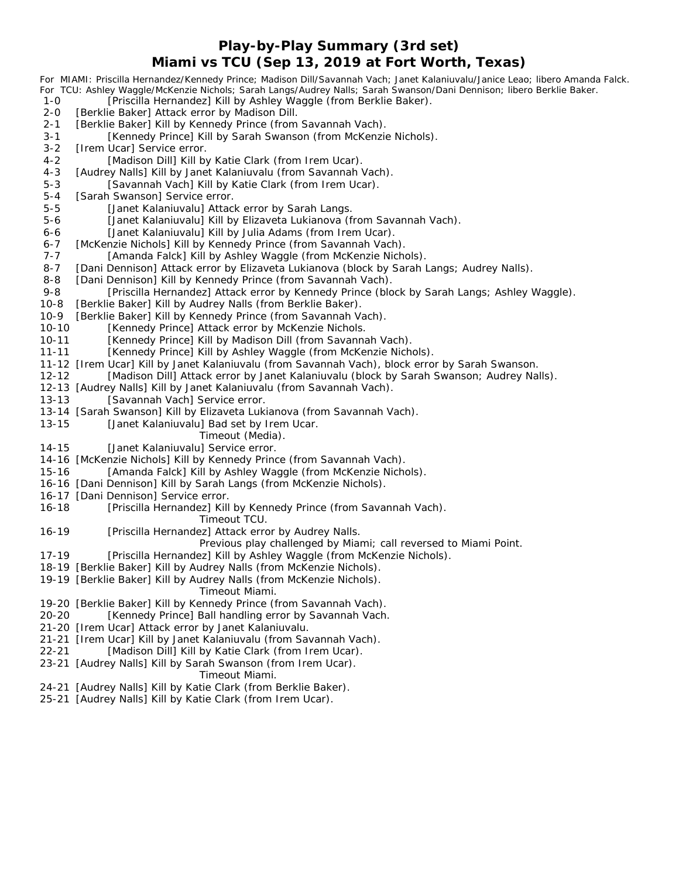### **Play-by-Play Summary (3rd set) Miami vs TCU (Sep 13, 2019 at Fort Worth, Texas)**

|           | For MIAMI: Priscilla Hernandez/Kennedy Prince; Madison Dill/Savannah Vach; Janet Kalaniuvalu/Janice Leao; libero Amanda Falck. |
|-----------|--------------------------------------------------------------------------------------------------------------------------------|
|           | For TCU: Ashley Waggle/McKenzie Nichols; Sarah Langs/Audrey Nalls; Sarah Swanson/Dani Dennison; libero Berklie Baker.          |
| $1 - 0$   | [Priscilla Hernandez] Kill by Ashley Waggle (from Berklie Baker).                                                              |
| $2 - 0$   | [Berklie Baker] Attack error by Madison Dill.                                                                                  |
| $2 - 1$   | [Berklie Baker] Kill by Kennedy Prince (from Savannah Vach).                                                                   |
| $3 - 1$   | [Kennedy Prince] Kill by Sarah Swanson (from McKenzie Nichols).                                                                |
| $3 - 2$   | [Irem Ucar] Service error.                                                                                                     |
| $4 - 2$   | [Madison Dill] Kill by Katie Clark (from Irem Ucar).                                                                           |
| $4 - 3$   | [Audrey Nalls] Kill by Janet Kalaniuvalu (from Savannah Vach).                                                                 |
| $5 - 3$   | [Savannah Vach] Kill by Katie Clark (from Irem Ucar).                                                                          |
| $5 - 4$   | [Sarah Swanson] Service error.                                                                                                 |
| $5-5$     | [Janet Kalaniuvalu] Attack error by Sarah Langs.                                                                               |
| $5 - 6$   | [Janet Kalaniuvalu] Kill by Elizaveta Lukianova (from Savannah Vach).                                                          |
| $6 - 6$   | [Janet Kalaniuvalu] Kill by Julia Adams (from Irem Ucar).                                                                      |
| $6 - 7$   | [McKenzie Nichols] Kill by Kennedy Prince (from Savannah Vach).                                                                |
| $7 - 7$   | [Amanda Falck] Kill by Ashley Waggle (from McKenzie Nichols).                                                                  |
| $8 - 7$   | [Dani Dennison] Attack error by Elizaveta Lukianova (block by Sarah Langs; Audrey Nalls).                                      |
| $8 - 8$   | [Dani Dennison] Kill by Kennedy Prince (from Savannah Vach).                                                                   |
| $9 - 8$   | [Priscilla Hernandez] Attack error by Kennedy Prince (block by Sarah Langs; Ashley Waggle).                                    |
| $10 - 8$  | [Berklie Baker] Kill by Audrey Nalls (from Berklie Baker).                                                                     |
| $10-9$    | [Berklie Baker] Kill by Kennedy Prince (from Savannah Vach).                                                                   |
| $10 - 10$ | [Kennedy Prince] Attack error by McKenzie Nichols.                                                                             |
| $10 - 11$ | [Kennedy Prince] Kill by Madison Dill (from Savannah Vach).                                                                    |
| $11 - 11$ | [Kennedy Prince] Kill by Ashley Waggle (from McKenzie Nichols).                                                                |
|           | 11-12 [Irem Ucar] Kill by Janet Kalaniuvalu (from Savannah Vach), block error by Sarah Swanson.                                |
| $12 - 12$ | [Madison Dill] Attack error by Janet Kalaniuvalu (block by Sarah Swanson; Audrey Nalls).                                       |
|           | 12-13 [Audrey Nalls] Kill by Janet Kalaniuvalu (from Savannah Vach).                                                           |
| $13 - 13$ | [Savannah Vach] Service error.                                                                                                 |
|           | 13-14 [Sarah Swanson] Kill by Elizaveta Lukianova (from Savannah Vach).                                                        |
| $13 - 15$ | [Janet Kalaniuvalu] Bad set by Irem Ucar.                                                                                      |
|           | Timeout (Media).                                                                                                               |
| $14 - 15$ | [Janet Kalaniuvalu] Service error.                                                                                             |
|           | 14-16 [McKenzie Nichols] Kill by Kennedy Prince (from Savannah Vach).                                                          |
| 15-16     | [Amanda Falck] Kill by Ashley Waggle (from McKenzie Nichols).                                                                  |
|           | 16-16 [Dani Dennison] Kill by Sarah Langs (from McKenzie Nichols).                                                             |
|           | 16-17 [Dani Dennison] Service error.                                                                                           |
| $16 - 18$ | [Priscilla Hernandez] Kill by Kennedy Prince (from Savannah Vach).                                                             |
|           | Timeout TCU.                                                                                                                   |
|           |                                                                                                                                |
| $16 - 19$ | [Priscilla Hernandez] Attack error by Audrey Nalls.<br>Previous play challenged by Miami; call reversed to Miami Point.        |
|           |                                                                                                                                |
| $17 - 19$ | [Priscilla Hernandez] Kill by Ashley Waggle (from McKenzie Nichols).                                                           |
|           | 18-19 [Berklie Baker] Kill by Audrey Nalls (from McKenzie Nichols).                                                            |
|           | 19-19 [Berklie Baker] Kill by Audrey Nalls (from McKenzie Nichols).                                                            |
|           | Timeout Miami.                                                                                                                 |
|           | 19-20 [Berklie Baker] Kill by Kennedy Prince (from Savannah Vach).                                                             |
| $20 - 20$ | [Kennedy Prince] Ball handling error by Savannah Vach.                                                                         |
| $21 - 20$ | [Irem Ucar] Attack error by Janet Kalaniuvalu.                                                                                 |
| $21 - 21$ | [Irem Ucar] Kill by Janet Kalaniuvalu (from Savannah Vach).                                                                    |
| $22 - 21$ | [Madison Dill] Kill by Katie Clark (from Irem Ucar).                                                                           |

23-21 [Audrey Nalls] Kill by Sarah Swanson (from Irem Ucar).

#### *Timeout Miami.*

- 24-21 [Audrey Nalls] Kill by Katie Clark (from Berklie Baker).
- 25-21 [Audrey Nalls] Kill by Katie Clark (from Irem Ucar).